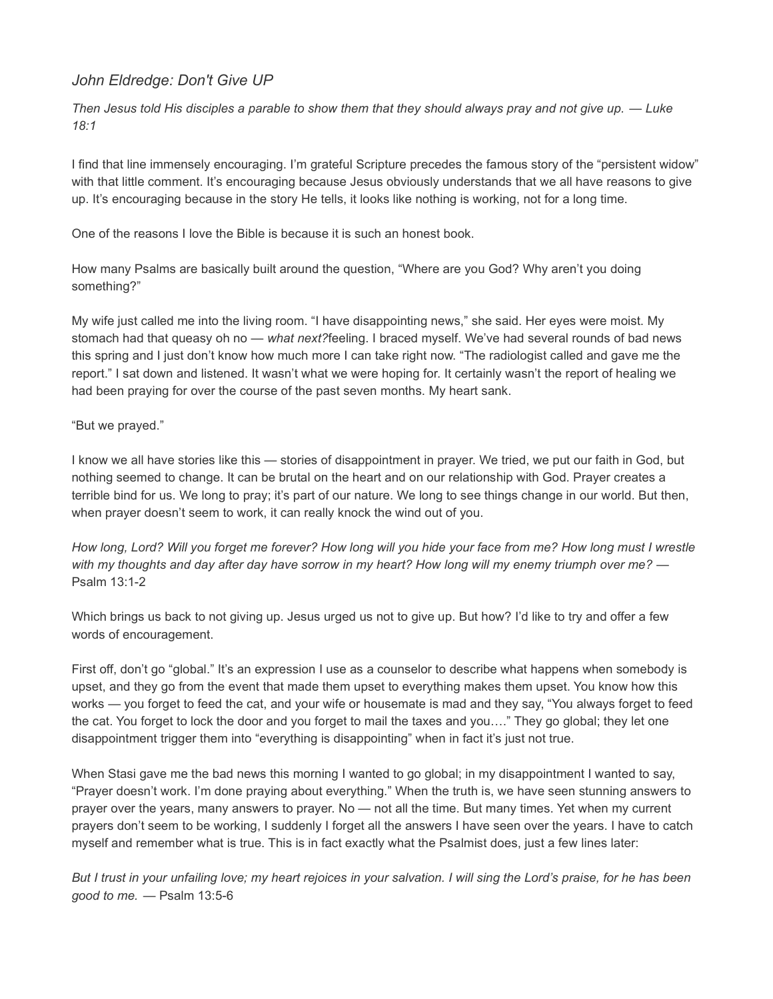## John Eldredge: Don't Give UP

Then Jesus told His disciples a parable to show them that they should always pray and not give up. — Luke 18:1

I find that line immensely encouraging. I'm grateful Scripture precedes the famous story of the "persistent widow" with that little comment. It's encouraging because Jesus obviously understands that we all have reasons to give up. It's encouraging because in the story He tells, it looks like nothing is working, not for a long time.

One of the reasons I love the Bible is because it is such an honest book.

How many Psalms are basically built around the question, "Where are you God? Why aren't you doing something?"

My wife just called me into the living room. "I have disappointing news," she said. Her eyes were moist. My stomach had that queasy oh no - what next?feeling. I braced myself. We've had several rounds of bad news this spring and I just don't know how much more I can take right now. "The radiologist called and gave me the report." I sat down and listened. It wasn't what we were hoping for. It certainly wasn't the report of healing we had been praying for over the course of the past seven months. My heart sank.

## "But we prayed."

I know we all have stories like this — stories of disappointment in prayer. We tried, we put our faith in God, but nothing seemed to change. It can be brutal on the heart and on our relationship with God. Prayer creates a terrible bind for us. We long to pray; it's part of our nature. We long to see things change in our world. But then, when prayer doesn't seem to work, it can really knock the wind out of you.

How long, Lord? Will you forget me forever? How long will you hide your face from me? How long must I wrestle with my thoughts and day after day have sorrow in my heart? How long will my enemy triumph over me? — Psalm 13:1-2

Which brings us back to not giving up. Jesus urged us not to give up. But how? I'd like to try and offer a few words of encouragement.

First off, don't go "global." It's an expression I use as a counselor to describe what happens when somebody is upset, and they go from the event that made them upset to everything makes them upset. You know how this works — you forget to feed the cat, and your wife or housemate is mad and they say, "You always forget to feed the cat. You forget to lock the door and you forget to mail the taxes and you…." They go global; they let one disappointment trigger them into "everything is disappointing" when in fact it's just not true.

When Stasi gave me the bad news this morning I wanted to go global; in my disappointment I wanted to say, "Prayer doesn't work. I'm done praying about everything." When the truth is, we have seen stunning answers to prayer over the years, many answers to prayer. No — not all the time. But many times. Yet when my current prayers don't seem to be working, I suddenly I forget all the answers I have seen over the years. I have to catch myself and remember what is true. This is in fact exactly what the Psalmist does, just a few lines later:

But I trust in your unfailing love; my heart rejoices in your salvation. I will sing the Lord's praise, for he has been good to me. — Psalm 13:5-6